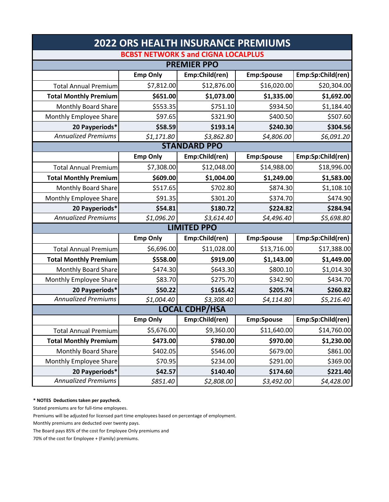| <b>2022 ORS HEALTH INSURANCE PREMIUMS</b>  |                 |                |                   |                   |  |  |  |
|--------------------------------------------|-----------------|----------------|-------------------|-------------------|--|--|--|
| <b>BCBST NETWORK S and CIGNA LOCALPLUS</b> |                 |                |                   |                   |  |  |  |
| <b>PREMIER PPO</b>                         |                 |                |                   |                   |  |  |  |
|                                            | <b>Emp Only</b> | Emp:Child(ren) | <b>Emp:Spouse</b> | Emp:Sp:Child(ren) |  |  |  |
| <b>Total Annual Premium</b>                | \$7,812.00      | \$12,876.00    | \$16,020.00       | \$20,304.00       |  |  |  |
| <b>Total Monthly Premium</b>               | \$651.00        | \$1,073.00     | \$1,335.00        | \$1,692.00        |  |  |  |
| <b>Monthly Board Share</b>                 | \$553.35        | \$751.10       | \$934.50          | \$1,184.40        |  |  |  |
| Monthly Employee Share                     | \$97.65         | \$321.90       | \$400.50          | \$507.60          |  |  |  |
| 20 Payperiods*                             | \$58.59         | \$193.14       | \$240.30          | \$304.56          |  |  |  |
| <b>Annualized Premiums</b>                 | \$1,171.80      | \$3,862.80     | \$4,806.00        | \$6,091.20        |  |  |  |
| <b>STANDARD PPO</b>                        |                 |                |                   |                   |  |  |  |
|                                            | <b>Emp Only</b> | Emp:Child(ren) | <b>Emp:Spouse</b> | Emp:Sp:Child(ren) |  |  |  |
| <b>Total Annual Premium</b>                | \$7,308.00      | \$12,048.00    | \$14,988.00       | \$18,996.00       |  |  |  |
| <b>Total Monthly Premium</b>               | \$609.00        | \$1,004.00     | \$1,249.00        | \$1,583.00        |  |  |  |
| Monthly Board Share                        | \$517.65        | \$702.80       | \$874.30          | \$1,108.10        |  |  |  |
| Monthly Employee Share                     | \$91.35         | \$301.20       | \$374.70          | \$474.90          |  |  |  |
| 20 Payperiods*                             | \$54.81         | \$180.72       | \$224.82          | \$284.94          |  |  |  |
| <b>Annualized Premiums</b>                 | \$1,096.20      | \$3,614.40     | \$4,496.40        | \$5,698.80        |  |  |  |
| <b>LIMITED PPO</b>                         |                 |                |                   |                   |  |  |  |
|                                            | <b>Emp Only</b> | Emp:Child(ren) | <b>Emp:Spouse</b> | Emp:Sp:Child(ren) |  |  |  |
| <b>Total Annual Premium</b>                | \$6,696.00      | \$11,028.00    | \$13,716.00       | \$17,388.00       |  |  |  |
| <b>Total Monthly Premium</b>               | \$558.00        | \$919.00       | \$1,143.00        | \$1,449.00        |  |  |  |
| <b>Monthly Board Share</b>                 | \$474.30        | \$643.30       | \$800.10          | \$1,014.30        |  |  |  |
| Monthly Employee Share                     | \$83.70         | \$275.70       | \$342.90          | \$434.70          |  |  |  |
| 20 Payperiods*                             | \$50.22         | \$165.42       | \$205.74          | \$260.82          |  |  |  |
| <b>Annualized Premiums</b>                 | \$1,004.40      | \$3,308.40     | \$4,114.80        | \$5,216.40        |  |  |  |
| <b>LOCAL CDHP/HSA</b>                      |                 |                |                   |                   |  |  |  |
|                                            | <b>Emp Only</b> | Emp:Child(ren) | <b>Emp:Spouse</b> | Emp:Sp:Child(ren) |  |  |  |
| <b>Total Annual Premium</b>                | \$5,676.00      | \$9,360.00     | \$11,640.00       | \$14,760.00       |  |  |  |
| <b>Total Monthly Premium</b>               | \$473.00        | \$780.00       | \$970.00          | \$1,230.00        |  |  |  |
| Monthly Board Share                        | \$402.05        | \$546.00       | \$679.00          | \$861.00          |  |  |  |
| Monthly Employee Share                     | \$70.95         | \$234.00       | \$291.00          | \$369.00          |  |  |  |
| 20 Payperiods*                             | \$42.57         | \$140.40       | \$174.60          | \$221.40          |  |  |  |
| <b>Annualized Premiums</b>                 | \$851.40        | \$2,808.00     | \$3,492.00        | \$4,428.00        |  |  |  |

**\* NOTES Deductions taken per paycheck.** 

Stated premiums are for full‐time employees.

Premiums will be adjusted for licensed part time employees based on percentage of employment.

Monthly premiums are deducted over twenty pays.

The Board pays 85% of the cost for Employee Only premiums and

70% of the cost for Employee + (Family) premiums.